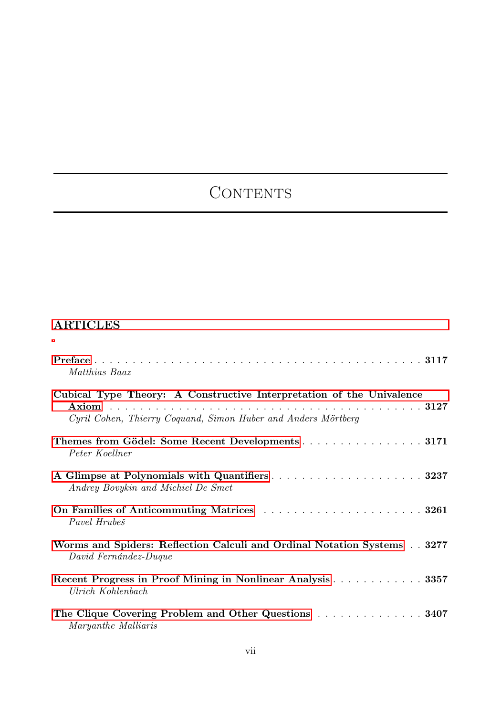## CONTENTS

## ARTICLES

| Matthias Baaz                                                                                                                         |
|---------------------------------------------------------------------------------------------------------------------------------------|
| Cubical Type Theory: A Constructive Interpretation of the Univalence<br>Cyril Cohen, Thierry Coquand, Simon Huber and Anders Mörtberg |
| Themes from Gödel: Some Recent Developments 3171<br>Peter Koellner                                                                    |
| Andrey Bovykin and Michiel De Smet                                                                                                    |
| Pavel Hrubeš                                                                                                                          |
| Worms and Spiders: Reflection Calculi and Ordinal Notation Systems 3277<br>David Fernández-Duque                                      |
| Recent Progress in Proof Mining in Nonlinear Analysis 3357<br>Ulrich Kohlenbach                                                       |
| The Clique Covering Problem and Other Questions  3407<br>Maryanthe Malliaris                                                          |